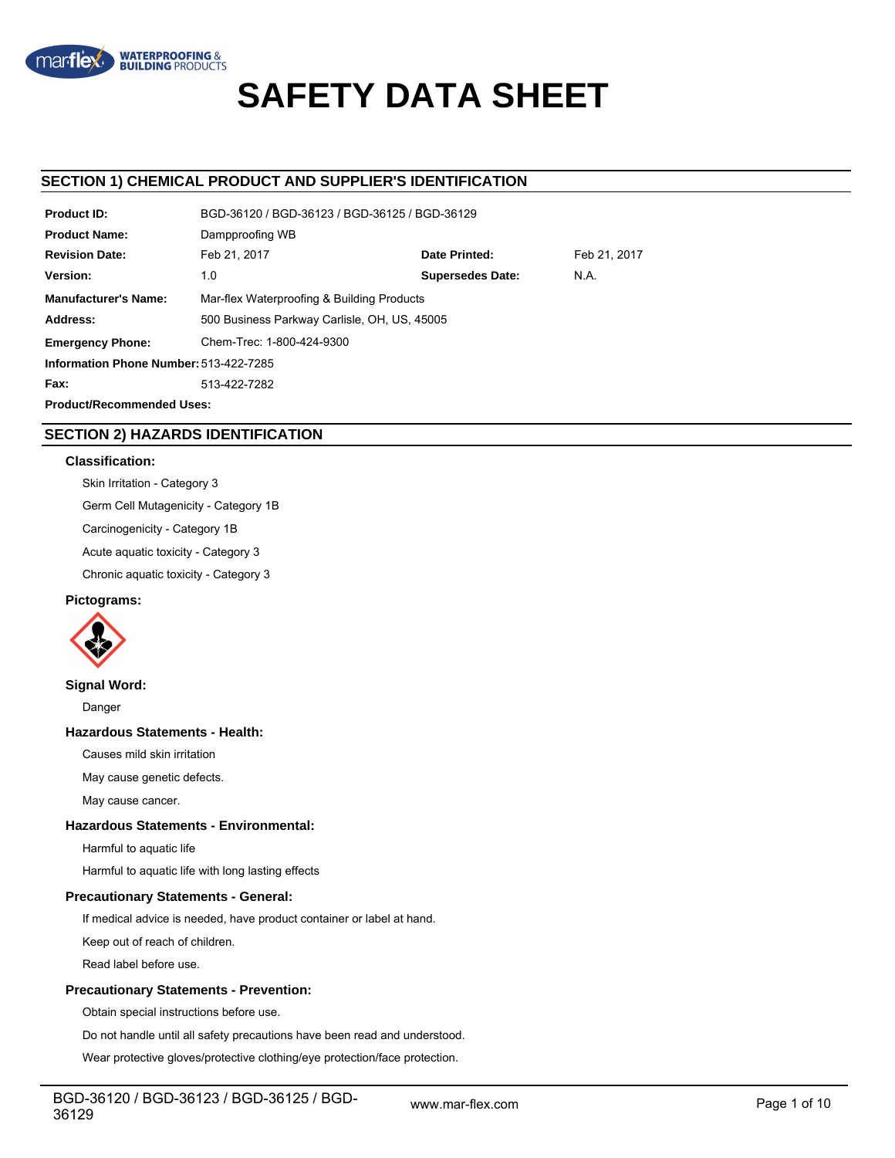

# **SAFETY DATA SHEET**

## **SECTION 1) CHEMICAL PRODUCT AND SUPPLIER'S IDENTIFICATION**

| <b>Product ID:</b>                     | BGD-36120 / BGD-36123 / BGD-36125 / BGD-36129 |                         |              |  |  |  |
|----------------------------------------|-----------------------------------------------|-------------------------|--------------|--|--|--|
| <b>Product Name:</b>                   | Dampproofing WB                               |                         |              |  |  |  |
| <b>Revision Date:</b>                  | Feb 21, 2017                                  | Date Printed:           | Feb 21, 2017 |  |  |  |
| Version:                               | 1.0                                           | <b>Supersedes Date:</b> | N.A.         |  |  |  |
| <b>Manufacturer's Name:</b>            | Mar-flex Waterproofing & Building Products    |                         |              |  |  |  |
| Address:                               | 500 Business Parkway Carlisle, OH, US, 45005  |                         |              |  |  |  |
| <b>Emergency Phone:</b>                | Chem-Trec: 1-800-424-9300                     |                         |              |  |  |  |
| Information Phone Number: 513-422-7285 |                                               |                         |              |  |  |  |
| Fax:                                   | 513-422-7282                                  |                         |              |  |  |  |
| <b>Product/Recommended Uses:</b>       |                                               |                         |              |  |  |  |

# **SECTION 2) HAZARDS IDENTIFICATION**

### **Classification:**

Skin Irritation - Category 3 Germ Cell Mutagenicity - Category 1B Carcinogenicity - Category 1B

Acute aquatic toxicity - Category 3

Chronic aquatic toxicity - Category 3

## **Pictograms:**



**Signal Word:**

Danger

## **Hazardous Statements - Health:**

Causes mild skin irritation

May cause genetic defects.

May cause cancer.

## **Hazardous Statements - Environmental:**

Harmful to aquatic life

Harmful to aquatic life with long lasting effects

## **Precautionary Statements - General:**

If medical advice is needed, have product container or label at hand.

Keep out of reach of children.

Read label before use.

## **Precautionary Statements - Prevention:**

Obtain special instructions before use.

Do not handle until all safety precautions have been read and understood.

Wear protective gloves/protective clothing/eye protection/face protection.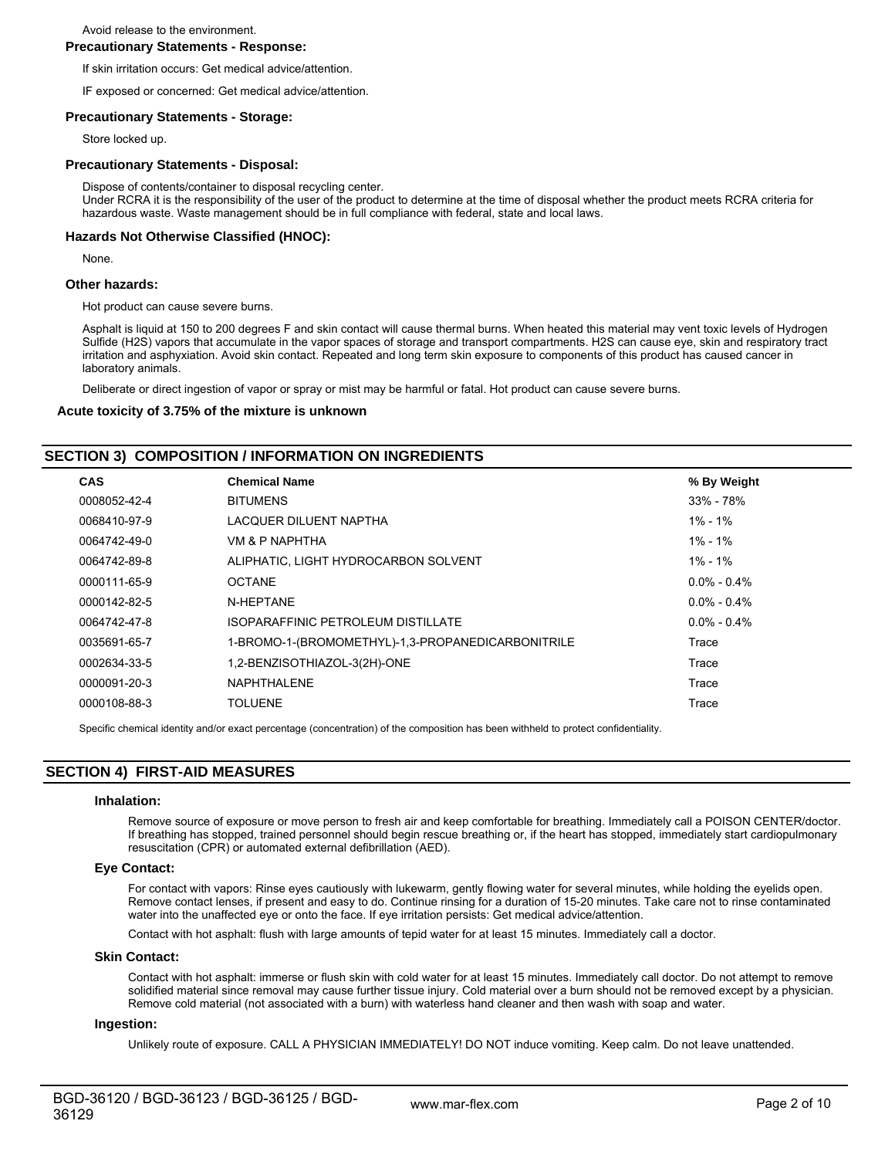Avoid release to the environment.

## **Precautionary Statements - Response:**

If skin irritation occurs: Get medical advice/attention.

IF exposed or concerned: Get medical advice/attention.

## **Precautionary Statements - Storage:**

Store locked up.

## **Precautionary Statements - Disposal:**

Dispose of contents/container to disposal recycling center.

Under RCRA it is the responsibility of the user of the product to determine at the time of disposal whether the product meets RCRA criteria for hazardous waste. Waste management should be in full compliance with federal, state and local laws.

## **Hazards Not Otherwise Classified (HNOC):**

None.

## **Other hazards:**

Hot product can cause severe burns.

Asphalt is liquid at 150 to 200 degrees F and skin contact will cause thermal burns. When heated this material may vent toxic levels of Hydrogen Sulfide (H2S) vapors that accumulate in the vapor spaces of storage and transport compartments. H2S can cause eye, skin and respiratory tract irritation and asphyxiation. Avoid skin contact. Repeated and long term skin exposure to components of this product has caused cancer in laboratory animals.

Deliberate or direct ingestion of vapor or spray or mist may be harmful or fatal. Hot product can cause severe burns.

### **Acute toxicity of 3.75% of the mixture is unknown**

## **SECTION 3) COMPOSITION / INFORMATION ON INGREDIENTS**

| <b>CAS</b>   | <b>Chemical Name</b>                              | % By Weight       |
|--------------|---------------------------------------------------|-------------------|
| 0008052-42-4 | <b>BITUMENS</b>                                   | 33% - 78%         |
| 0068410-97-9 | LACQUER DILUENT NAPTHA                            | 1% - 1%           |
| 0064742-49-0 | VM & P NAPHTHA                                    | 1% - 1%           |
| 0064742-89-8 | ALIPHATIC, LIGHT HYDROCARBON SOLVENT              | 1% - 1%           |
| 0000111-65-9 | <b>OCTANE</b>                                     | $0.0\% - 0.4\%$   |
| 0000142-82-5 | N-HEPTANE                                         | $0.0\% - 0.4\%$   |
| 0064742-47-8 | ISOPARAFFINIC PETROLEUM DISTILLATE                | $0.0\%$ - $0.4\%$ |
| 0035691-65-7 | 1-BROMO-1-(BROMOMETHYL)-1,3-PROPANEDICARBONITRILE | Trace             |
| 0002634-33-5 | 1,2-BENZISOTHIAZOL-3(2H)-ONE                      | Trace             |
| 0000091-20-3 | <b>NAPHTHALENE</b>                                | Trace             |
| 0000108-88-3 | <b>TOLUENE</b>                                    | Trace             |

Specific chemical identity and/or exact percentage (concentration) of the composition has been withheld to protect confidentiality.

# **SECTION 4) FIRST-AID MEASURES**

#### **Inhalation:**

Remove source of exposure or move person to fresh air and keep comfortable for breathing. Immediately call a POISON CENTER/doctor. If breathing has stopped, trained personnel should begin rescue breathing or, if the heart has stopped, immediately start cardiopulmonary resuscitation (CPR) or automated external defibrillation (AED).

## **Eye Contact:**

For contact with vapors: Rinse eyes cautiously with lukewarm, gently flowing water for several minutes, while holding the eyelids open. Remove contact lenses, if present and easy to do. Continue rinsing for a duration of 15-20 minutes. Take care not to rinse contaminated water into the unaffected eye or onto the face. If eye irritation persists: Get medical advice/attention.

Contact with hot asphalt: flush with large amounts of tepid water for at least 15 minutes. Immediately call a doctor.

## **Skin Contact:**

Contact with hot asphalt: immerse or flush skin with cold water for at least 15 minutes. Immediately call doctor. Do not attempt to remove solidified material since removal may cause further tissue injury. Cold material over a burn should not be removed except by a physician. Remove cold material (not associated with a burn) with waterless hand cleaner and then wash with soap and water.

#### **Ingestion:**

Unlikely route of exposure. CALL A PHYSICIAN IMMEDIATELY! DO NOT induce vomiting. Keep calm. Do not leave unattended.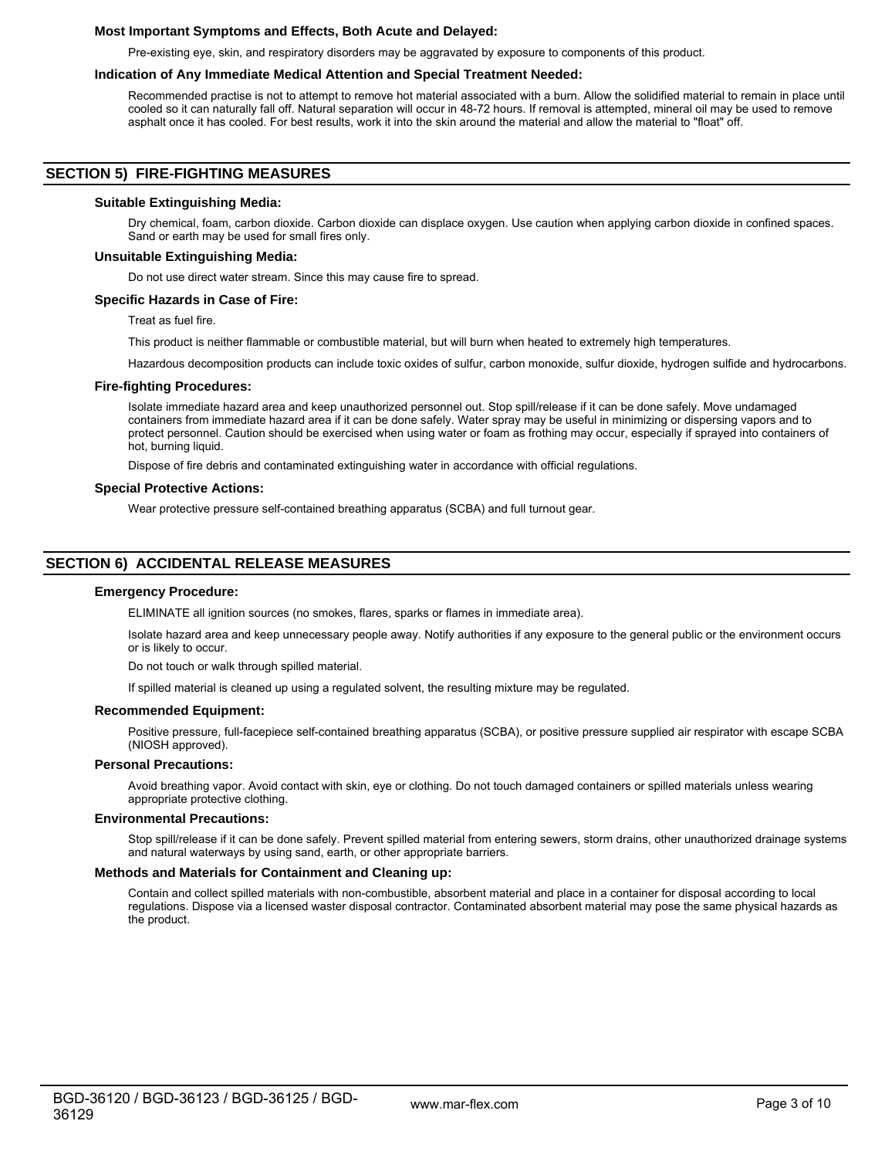## **Most Important Symptoms and Effects, Both Acute and Delayed:**

Pre-existing eye, skin, and respiratory disorders may be aggravated by exposure to components of this product.

## **Indication of Any Immediate Medical Attention and Special Treatment Needed:**

Recommended practise is not to attempt to remove hot material associated with a burn. Allow the solidified material to remain in place until cooled so it can naturally fall off. Natural separation will occur in 48-72 hours. If removal is attempted, mineral oil may be used to remove asphalt once it has cooled. For best results, work it into the skin around the material and allow the material to "float" off.

## **SECTION 5) FIRE-FIGHTING MEASURES**

### **Suitable Extinguishing Media:**

Dry chemical, foam, carbon dioxide. Carbon dioxide can displace oxygen. Use caution when applying carbon dioxide in confined spaces. Sand or earth may be used for small fires only.

## **Unsuitable Extinguishing Media:**

Do not use direct water stream. Since this may cause fire to spread.

### **Specific Hazards in Case of Fire:**

Treat as fuel fire.

This product is neither flammable or combustible material, but will burn when heated to extremely high temperatures.

Hazardous decomposition products can include toxic oxides of sulfur, carbon monoxide, sulfur dioxide, hydrogen sulfide and hydrocarbons.

### **Fire-fighting Procedures:**

Isolate immediate hazard area and keep unauthorized personnel out. Stop spill/release if it can be done safely. Move undamaged containers from immediate hazard area if it can be done safely. Water spray may be useful in minimizing or dispersing vapors and to protect personnel. Caution should be exercised when using water or foam as frothing may occur, especially if sprayed into containers of hot, burning liquid.

Dispose of fire debris and contaminated extinguishing water in accordance with official regulations.

### **Special Protective Actions:**

Wear protective pressure self-contained breathing apparatus (SCBA) and full turnout gear.

## **SECTION 6) ACCIDENTAL RELEASE MEASURES**

#### **Emergency Procedure:**

ELIMINATE all ignition sources (no smokes, flares, sparks or flames in immediate area).

Isolate hazard area and keep unnecessary people away. Notify authorities if any exposure to the general public or the environment occurs or is likely to occur.

Do not touch or walk through spilled material.

If spilled material is cleaned up using a regulated solvent, the resulting mixture may be regulated.

#### **Recommended Equipment:**

Positive pressure, full-facepiece self-contained breathing apparatus (SCBA), or positive pressure supplied air respirator with escape SCBA (NIOSH approved).

## **Personal Precautions:**

Avoid breathing vapor. Avoid contact with skin, eye or clothing. Do not touch damaged containers or spilled materials unless wearing appropriate protective clothing.

#### **Environmental Precautions:**

Stop spill/release if it can be done safely. Prevent spilled material from entering sewers, storm drains, other unauthorized drainage systems and natural waterways by using sand, earth, or other appropriate barriers.

#### **Methods and Materials for Containment and Cleaning up:**

Contain and collect spilled materials with non-combustible, absorbent material and place in a container for disposal according to local regulations. Dispose via a licensed waster disposal contractor. Contaminated absorbent material may pose the same physical hazards as the product.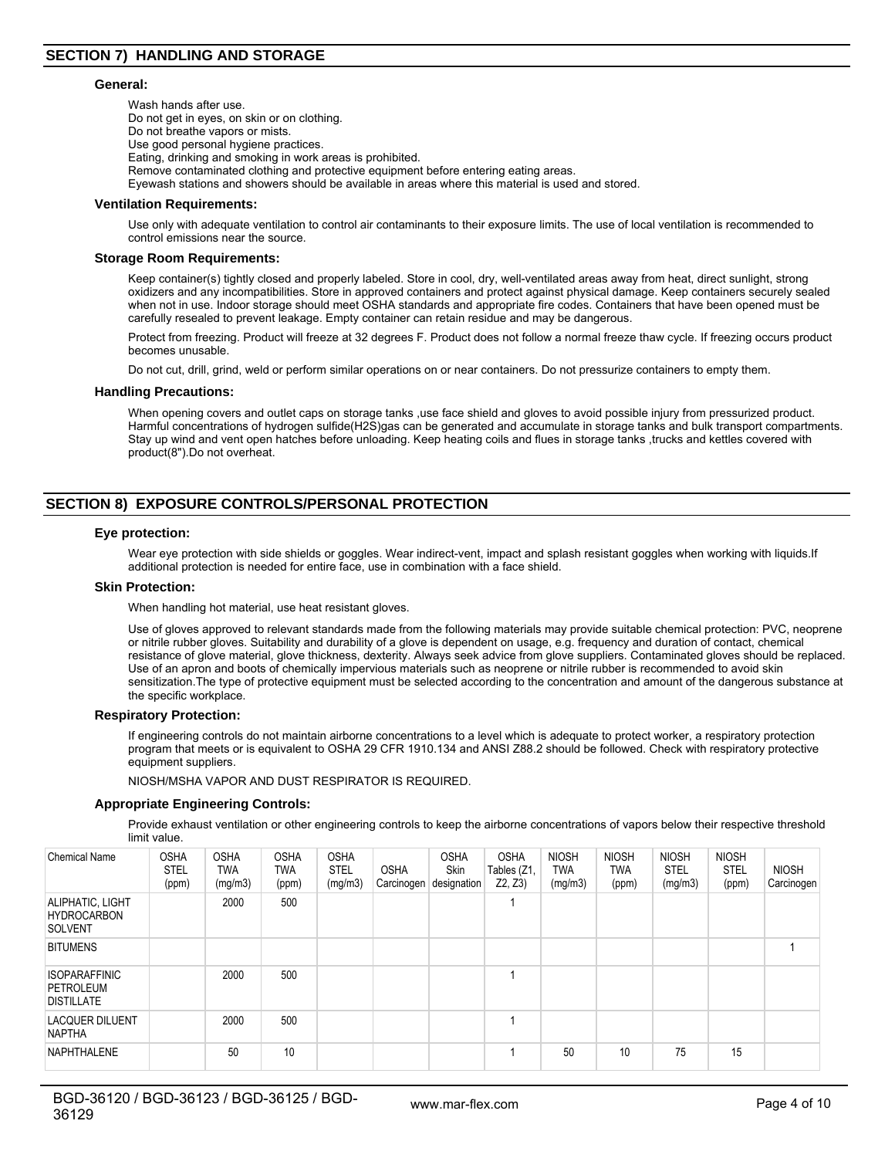#### **General:**

Wash hands after use. Do not get in eyes, on skin or on clothing. Do not breathe vapors or mists. Use good personal hygiene practices. Eating, drinking and smoking in work areas is prohibited. Remove contaminated clothing and protective equipment before entering eating areas. Eyewash stations and showers should be available in areas where this material is used and stored.

#### **Ventilation Requirements:**

Use only with adequate ventilation to control air contaminants to their exposure limits. The use of local ventilation is recommended to control emissions near the source.

#### **Storage Room Requirements:**

Keep container(s) tightly closed and properly labeled. Store in cool, dry, well-ventilated areas away from heat, direct sunlight, strong oxidizers and any incompatibilities. Store in approved containers and protect against physical damage. Keep containers securely sealed when not in use. Indoor storage should meet OSHA standards and appropriate fire codes. Containers that have been opened must be carefully resealed to prevent leakage. Empty container can retain residue and may be dangerous.

Protect from freezing. Product will freeze at 32 degrees F. Product does not follow a normal freeze thaw cycle. If freezing occurs product becomes unusable.

Do not cut, drill, grind, weld or perform similar operations on or near containers. Do not pressurize containers to empty them.

#### **Handling Precautions:**

When opening covers and outlet caps on storage tanks ,use face shield and gloves to avoid possible injury from pressurized product. Harmful concentrations of hydrogen sulfide(H2S)gas can be generated and accumulate in storage tanks and bulk transport compartments. Stay up wind and vent open hatches before unloading. Keep heating coils and flues in storage tanks ,trucks and kettles covered with product(8").Do not overheat.

# **SECTION 8) EXPOSURE CONTROLS/PERSONAL PROTECTION**

#### **Eye protection:**

Wear eye protection with side shields or goggles. Wear indirect-vent, impact and splash resistant goggles when working with liquids.If additional protection is needed for entire face, use in combination with a face shield.

#### **Skin Protection:**

When handling hot material, use heat resistant gloves.

Use of gloves approved to relevant standards made from the following materials may provide suitable chemical protection: PVC, neoprene or nitrile rubber gloves. Suitability and durability of a glove is dependent on usage, e.g. frequency and duration of contact, chemical resistance of glove material, glove thickness, dexterity. Always seek advice from glove suppliers. Contaminated gloves should be replaced. Use of an apron and boots of chemically impervious materials such as neoprene or nitrile rubber is recommended to avoid skin sensitization.The type of protective equipment must be selected according to the concentration and amount of the dangerous substance at the specific workplace.

## **Respiratory Protection:**

If engineering controls do not maintain airborne concentrations to a level which is adequate to protect worker, a respiratory protection program that meets or is equivalent to OSHA 29 CFR 1910.134 and ANSI Z88.2 should be followed. Check with respiratory protective equipment suppliers.

NIOSH/MSHA VAPOR AND DUST RESPIRATOR IS REQUIRED.

## **Appropriate Engineering Controls:**

Provide exhaust ventilation or other engineering controls to keep the airborne concentrations of vapors below their respective threshold limit value.

| <b>Chemical Name</b>                                     | <b>OSHA</b><br><b>STEL</b><br>(ppm) | <b>OSHA</b><br>TWA<br>(mg/m3) | <b>OSHA</b><br>TWA<br>(ppm) | <b>OSHA</b><br><b>STEL</b><br>(mg/m3) | <b>OSHA</b> | <b>OSHA</b><br><b>Skin</b><br>Carcinogen designation | <b>OSHA</b><br>Tables (Z1,<br>Z2, Z3 | <b>NIOSH</b><br><b>TWA</b><br>(mg/m3) | <b>NIOSH</b><br><b>TWA</b><br>(ppm) | <b>NIOSH</b><br><b>STEL</b><br>(mg/m3) | <b>NIOSH</b><br><b>STEL</b><br>(ppm) | <b>NIOSH</b><br>Carcinogen |
|----------------------------------------------------------|-------------------------------------|-------------------------------|-----------------------------|---------------------------------------|-------------|------------------------------------------------------|--------------------------------------|---------------------------------------|-------------------------------------|----------------------------------------|--------------------------------------|----------------------------|
| ALIPHATIC, LIGHT<br><b>HYDROCARBON</b><br><b>SOLVENT</b> |                                     | 2000                          | 500                         |                                       |             |                                                      |                                      |                                       |                                     |                                        |                                      |                            |
| <b>BITUMENS</b>                                          |                                     |                               |                             |                                       |             |                                                      |                                      |                                       |                                     |                                        |                                      |                            |
| <b>ISOPARAFFINIC</b><br>PETROLEUM<br><b>DISTILLATE</b>   |                                     | 2000                          | 500                         |                                       |             |                                                      |                                      |                                       |                                     |                                        |                                      |                            |
| <b>LACQUER DILUENT</b><br><b>NAPTHA</b>                  |                                     | 2000                          | 500                         |                                       |             |                                                      |                                      |                                       |                                     |                                        |                                      |                            |
| <b>NAPHTHALENE</b>                                       |                                     | 50                            | 10                          |                                       |             |                                                      |                                      | 50                                    | 10                                  | 75                                     | 15                                   |                            |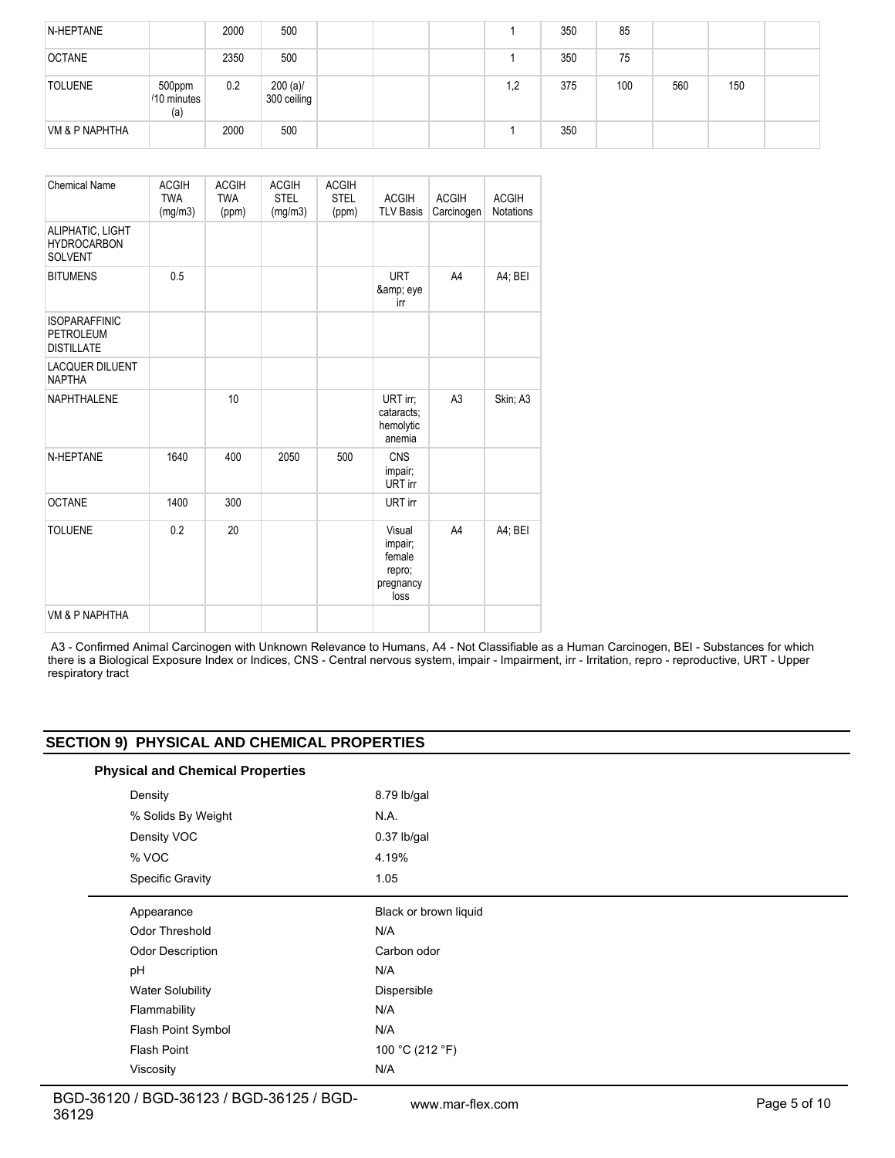| N-HEPTANE                 |                              | 2000 | 500                        |  |    | 350 | 85  |     |     |  |
|---------------------------|------------------------------|------|----------------------------|--|----|-----|-----|-----|-----|--|
| <b>OCTANE</b>             |                              | 2350 | 500                        |  |    | 350 | 75  |     |     |  |
| <b>TOLUENE</b>            | 500ppm<br>/10 minutes<br>(a) | 0.2  | $200 (a)$ /<br>300 ceiling |  | ,2 | 375 | 100 | 560 | 150 |  |
| <b>VM &amp; P NAPHTHA</b> |                              | 2000 | 500                        |  |    | 350 |     |     |     |  |

| <b>Chemical Name</b>                                          | <b>ACGIH</b><br><b>TWA</b><br>(mg/m3) | <b>ACGIH</b><br><b>TWA</b><br>(ppm) | <b>ACGIH</b><br><b>STEL</b><br>(mg/m3) | <b>ACGIH</b><br><b>STEL</b><br>(ppm) | <b>ACGIH</b><br><b>TLV Basis</b>                           | <b>ACGIH</b><br>Carcinogen | <b>ACGIH</b><br><b>Notations</b> |
|---------------------------------------------------------------|---------------------------------------|-------------------------------------|----------------------------------------|--------------------------------------|------------------------------------------------------------|----------------------------|----------------------------------|
| ALIPHATIC, LIGHT<br><b>HYDROCARBON</b><br><b>SOLVENT</b>      |                                       |                                     |                                        |                                      |                                                            |                            |                                  |
| <b>BITUMENS</b>                                               | 0.5                                   |                                     |                                        |                                      | <b>URT</b><br>& eye<br>irr                                 | A4                         | A4; BEI                          |
| <b>ISOPARAFFINIC</b><br><b>PETROLEUM</b><br><b>DISTILLATE</b> |                                       |                                     |                                        |                                      |                                                            |                            |                                  |
| <b>LACQUER DILUENT</b><br><b>NAPTHA</b>                       |                                       |                                     |                                        |                                      |                                                            |                            |                                  |
| <b>NAPHTHALENE</b>                                            |                                       | 10                                  |                                        |                                      | URT irr;<br>cataracts:<br>hemolytic<br>anemia              | A <sub>3</sub>             | Skin; A3                         |
| N-HEPTANE                                                     | 1640                                  | 400                                 | 2050                                   | 500                                  | <b>CNS</b><br>impair;<br>URT irr                           |                            |                                  |
| <b>OCTANE</b>                                                 | 1400                                  | 300                                 |                                        |                                      | URT irr                                                    |                            |                                  |
| <b>TOLUENE</b>                                                | 0.2                                   | 20                                  |                                        |                                      | Visual<br>impair;<br>female<br>repro;<br>pregnancy<br>loss | A4                         | A4; BEI                          |
| VM & P NAPHTHA                                                |                                       |                                     |                                        |                                      |                                                            |                            |                                  |

 A3 - Confirmed Animal Carcinogen with Unknown Relevance to Humans, A4 - Not Classifiable as a Human Carcinogen, BEI - Substances for which there is a Biological Exposure Index or Indices, CNS - Central nervous system, impair - Impairment, irr - Irritation, repro - reproductive, URT - Upper respiratory tract

# **SECTION 9) PHYSICAL AND CHEMICAL PROPERTIES**

## **Physical and Chemical Properties**

| Density                 | 8.79 lb/gal           |
|-------------------------|-----------------------|
| % Solids By Weight      | N.A.                  |
| Density VOC             | $0.37$ lb/gal         |
| % VOC                   | 4.19%                 |
| <b>Specific Gravity</b> | 1.05                  |
| Appearance              | Black or brown liquid |
| Odor Threshold          | N/A                   |
| Odor Description        | Carbon odor           |
| pH                      | N/A                   |
| <b>Water Solubility</b> | Dispersible           |
| Flammability            | N/A                   |
| Flash Point Symbol      | N/A                   |
| <b>Flash Point</b>      | 100 °C (212 °F)       |
| Viscosity               | N/A                   |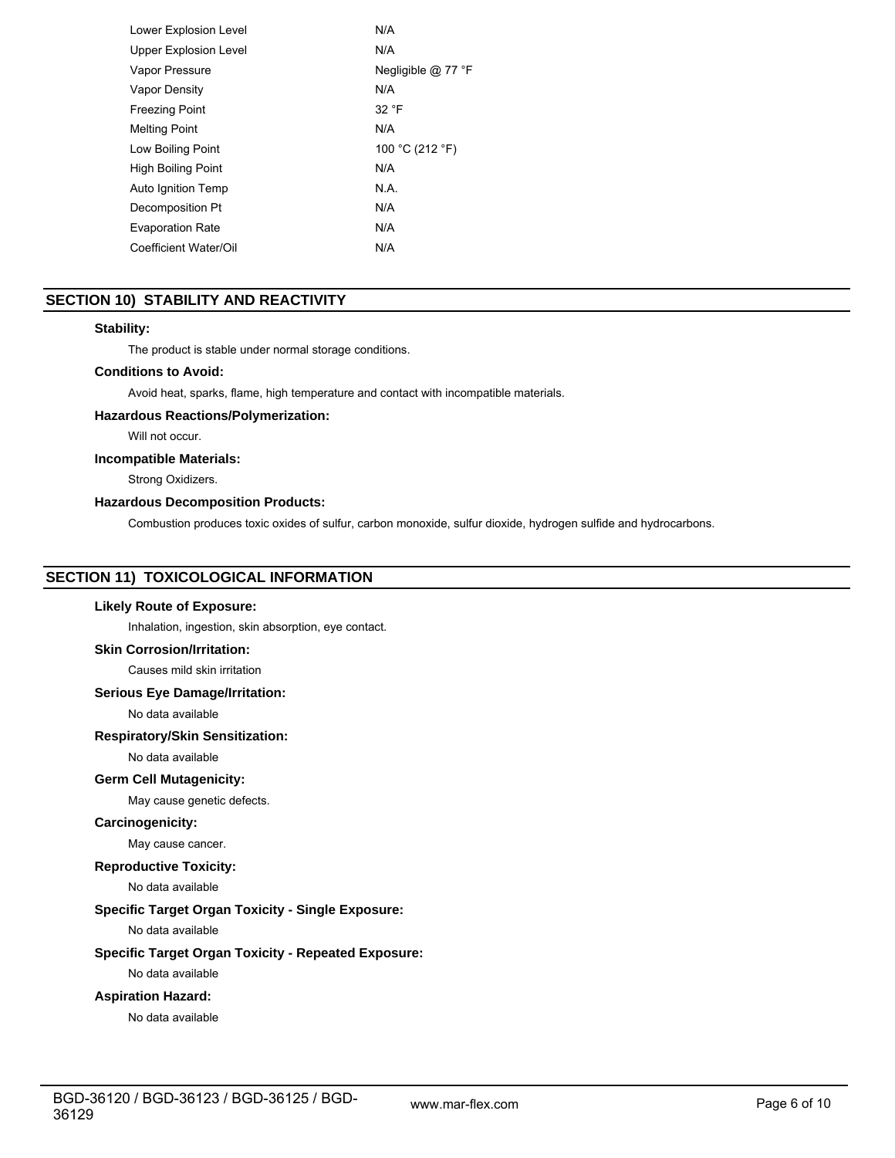| Lower Explosion Level     | N/A                |
|---------------------------|--------------------|
| Upper Explosion Level     | N/A                |
| Vapor Pressure            | Negligible @ 77 °F |
| <b>Vapor Density</b>      | N/A                |
| <b>Freezing Point</b>     | 32 °F              |
| <b>Melting Point</b>      | N/A                |
| Low Boiling Point         | 100 °C (212 °F)    |
| <b>High Boiling Point</b> | N/A                |
| Auto Ignition Temp        | N.A.               |
| Decomposition Pt          | N/A                |
| <b>Evaporation Rate</b>   | N/A                |
| Coefficient Water/Oil     | N/A                |
|                           |                    |

# **SECTION 10) STABILITY AND REACTIVITY**

## **Stability:**

The product is stable under normal storage conditions.

# **Conditions to Avoid:**

Avoid heat, sparks, flame, high temperature and contact with incompatible materials.

## **Hazardous Reactions/Polymerization:**

Will not occur.

## **Incompatible Materials:**

Strong Oxidizers.

## **Hazardous Decomposition Products:**

Combustion produces toxic oxides of sulfur, carbon monoxide, sulfur dioxide, hydrogen sulfide and hydrocarbons.

# **SECTION 11) TOXICOLOGICAL INFORMATION**

## **Likely Route of Exposure:**

Inhalation, ingestion, skin absorption, eye contact.

## **Skin Corrosion/Irritation:**

Causes mild skin irritation

## **Serious Eye Damage/Irritation:**

No data available

## **Respiratory/Skin Sensitization:**

No data available

## **Germ Cell Mutagenicity:**

May cause genetic defects.

## **Carcinogenicity:**

May cause cancer.

## **Reproductive Toxicity:**

No data available

# **Specific Target Organ Toxicity - Single Exposure:**

No data available

## **Specific Target Organ Toxicity - Repeated Exposure:**

No data available

## **Aspiration Hazard:**

No data available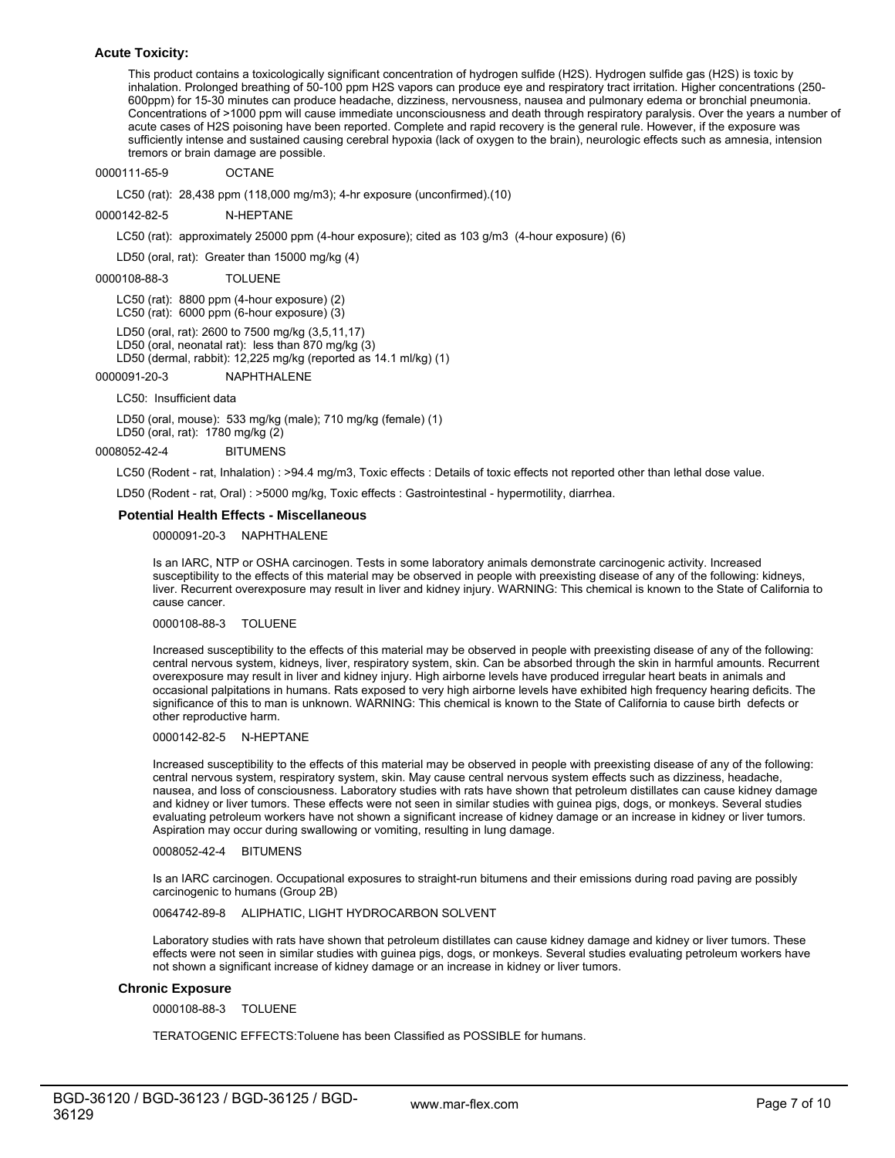## **Acute Toxicity:**

This product contains a toxicologically significant concentration of hydrogen sulfide (H2S). Hydrogen sulfide gas (H2S) is toxic by inhalation. Prolonged breathing of 50-100 ppm H2S vapors can produce eye and respiratory tract irritation. Higher concentrations (250- 600ppm) for 15-30 minutes can produce headache, dizziness, nervousness, nausea and pulmonary edema or bronchial pneumonia. Concentrations of >1000 ppm will cause immediate unconsciousness and death through respiratory paralysis. Over the years a number of acute cases of H2S poisoning have been reported. Complete and rapid recovery is the general rule. However, if the exposure was sufficiently intense and sustained causing cerebral hypoxia (lack of oxygen to the brain), neurologic effects such as amnesia, intension tremors or brain damage are possible.

0000111-65-9 OCTANE

LC50 (rat): 28,438 ppm (118,000 mg/m3); 4-hr exposure (unconfirmed).(10)

0000142-82-5 N-HEPTANE

LC50 (rat): approximately 25000 ppm (4-hour exposure); cited as 103 g/m3 (4-hour exposure) (6)

LD50 (oral, rat): Greater than 15000 mg/kg (4)

0000108-88-3 TOLUENE

LC50 (rat): 8800 ppm (4-hour exposure) (2)

LC50 (rat): 6000 ppm (6-hour exposure) (3)

LD50 (oral, rat): 2600 to 7500 mg/kg (3,5,11,17)

LD50 (oral, neonatal rat): less than 870 mg/kg (3)

LD50 (dermal, rabbit): 12,225 mg/kg (reported as 14.1 ml/kg) (1)

0000091-20-3 NAPHTHALENE

LC50: Insufficient data

LD50 (oral, mouse): 533 mg/kg (male); 710 mg/kg (female) (1) LD50 (oral, rat): 1780 mg/kg (2)

0008052-42-4 BITUMENS

LC50 (Rodent - rat, Inhalation) : >94.4 mg/m3, Toxic effects : Details of toxic effects not reported other than lethal dose value.

LD50 (Rodent - rat, Oral) : >5000 mg/kg, Toxic effects : Gastrointestinal - hypermotility, diarrhea.

### **Potential Health Effects - Miscellaneous**

0000091-20-3 NAPHTHALENE

Is an IARC, NTP or OSHA carcinogen. Tests in some laboratory animals demonstrate carcinogenic activity. Increased susceptibility to the effects of this material may be observed in people with preexisting disease of any of the following: kidneys, liver. Recurrent overexposure may result in liver and kidney injury. WARNING: This chemical is known to the State of California to cause cancer.

#### 0000108-88-3 TOLUENE

Increased susceptibility to the effects of this material may be observed in people with preexisting disease of any of the following: central nervous system, kidneys, liver, respiratory system, skin. Can be absorbed through the skin in harmful amounts. Recurrent overexposure may result in liver and kidney injury. High airborne levels have produced irregular heart beats in animals and occasional palpitations in humans. Rats exposed to very high airborne levels have exhibited high frequency hearing deficits. The significance of this to man is unknown. WARNING: This chemical is known to the State of California to cause birth defects or other reproductive harm.

0000142-82-5 N-HEPTANE

Increased susceptibility to the effects of this material may be observed in people with preexisting disease of any of the following: central nervous system, respiratory system, skin. May cause central nervous system effects such as dizziness, headache, nausea, and loss of consciousness. Laboratory studies with rats have shown that petroleum distillates can cause kidney damage and kidney or liver tumors. These effects were not seen in similar studies with guinea pigs, dogs, or monkeys. Several studies evaluating petroleum workers have not shown a significant increase of kidney damage or an increase in kidney or liver tumors. Aspiration may occur during swallowing or vomiting, resulting in lung damage.

#### 0008052-42-4 BITUMENS

Is an IARC carcinogen. Occupational exposures to straight-run bitumens and their emissions during road paving are possibly carcinogenic to humans (Group 2B)

## 0064742-89-8 ALIPHATIC, LIGHT HYDROCARBON SOLVENT

Laboratory studies with rats have shown that petroleum distillates can cause kidney damage and kidney or liver tumors. These effects were not seen in similar studies with guinea pigs, dogs, or monkeys. Several studies evaluating petroleum workers have not shown a significant increase of kidney damage or an increase in kidney or liver tumors.

## **Chronic Exposure**

0000108-88-3 TOLUENE

TERATOGENIC EFFECTS:Toluene has been Classified as POSSIBLE for humans.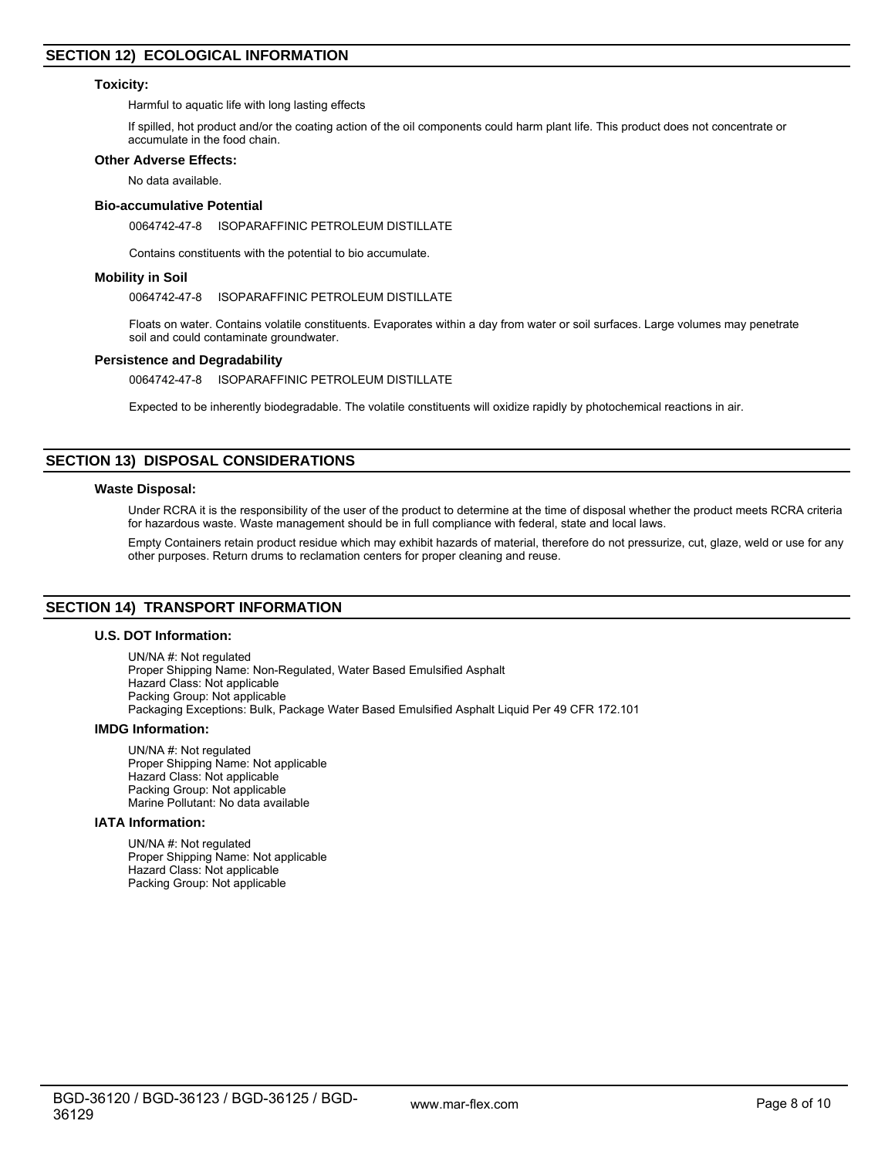## **Toxicity:**

Harmful to aquatic life with long lasting effects

If spilled, hot product and/or the coating action of the oil components could harm plant life. This product does not concentrate or accumulate in the food chain.

## **Other Adverse Effects:**

No data available.

## **Bio-accumulative Potential**

0064742-47-8 ISOPARAFFINIC PETROLEUM DISTILLATE

Contains constituents with the potential to bio accumulate.

#### **Mobility in Soil**

0064742-47-8 ISOPARAFFINIC PETROLEUM DISTILLATE

Floats on water. Contains volatile constituents. Evaporates within a day from water or soil surfaces. Large volumes may penetrate soil and could contaminate groundwater.

## **Persistence and Degradability**

0064742-47-8 ISOPARAFFINIC PETROLEUM DISTILLATE

Expected to be inherently biodegradable. The volatile constituents will oxidize rapidly by photochemical reactions in air.

## **SECTION 13) DISPOSAL CONSIDERATIONS**

#### **Waste Disposal:**

Under RCRA it is the responsibility of the user of the product to determine at the time of disposal whether the product meets RCRA criteria for hazardous waste. Waste management should be in full compliance with federal, state and local laws.

Empty Containers retain product residue which may exhibit hazards of material, therefore do not pressurize, cut, glaze, weld or use for any other purposes. Return drums to reclamation centers for proper cleaning and reuse.

## **SECTION 14) TRANSPORT INFORMATION**

#### **U.S. DOT Information:**

UN/NA #: Not regulated Proper Shipping Name: Non-Regulated, Water Based Emulsified Asphalt Hazard Class: Not applicable Packing Group: Not applicable Packaging Exceptions: Bulk, Package Water Based Emulsified Asphalt Liquid Per 49 CFR 172.101

## **IMDG Information:**

UN/NA #: Not regulated Proper Shipping Name: Not applicable Hazard Class: Not applicable Packing Group: Not applicable Marine Pollutant: No data available

## **IATA Information:**

UN/NA #: Not regulated Proper Shipping Name: Not applicable Hazard Class: Not applicable Packing Group: Not applicable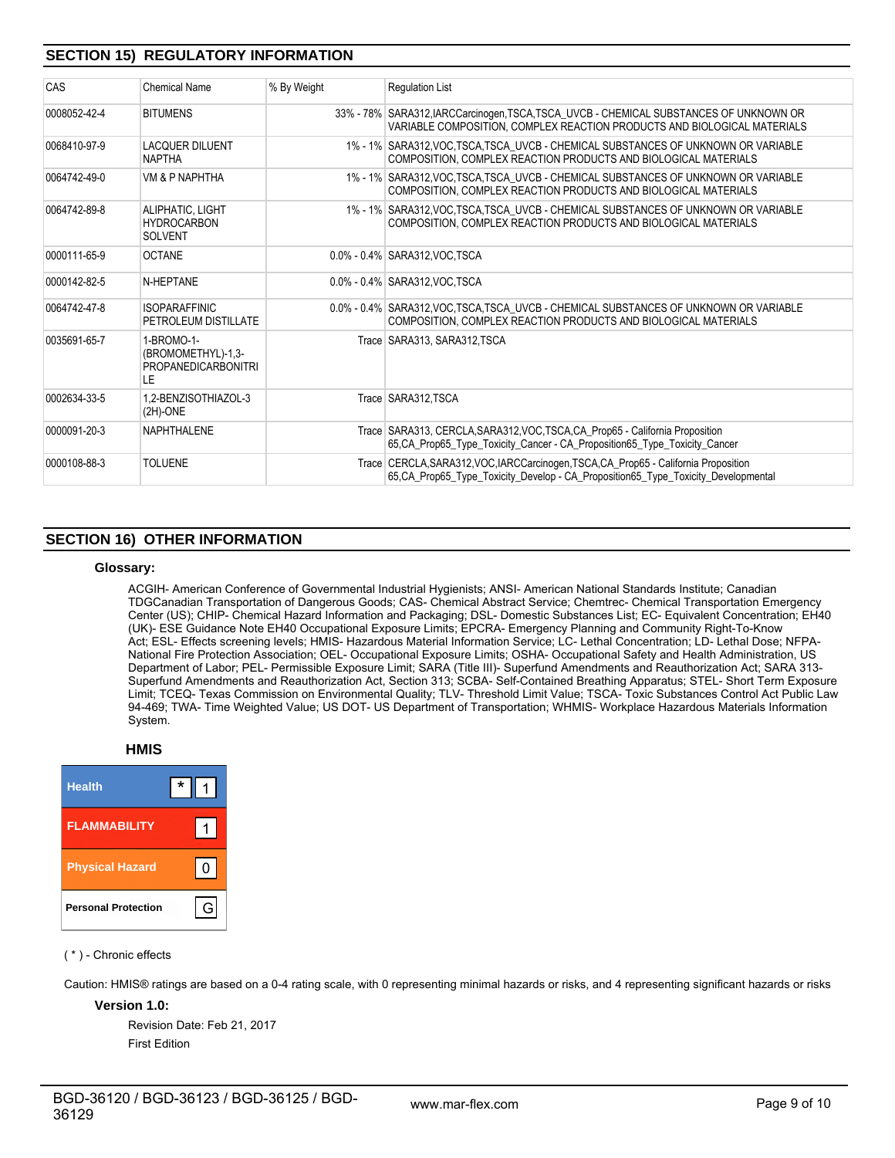# **SECTION 15) REGULATORY INFORMATION**

| CAS          | <b>Chemical Name</b>                                                 | % By Weight | <b>Regulation List</b>                                                                                                                                                     |
|--------------|----------------------------------------------------------------------|-------------|----------------------------------------------------------------------------------------------------------------------------------------------------------------------------|
| 0008052-42-4 | <b>BITUMENS</b>                                                      |             | 33% - 78% SARA312, IARCCarcinogen, TSCA, TSCA_UVCB - CHEMICAL SUBSTANCES OF UNKNOWN OR<br>VARIABLE COMPOSITION, COMPLEX REACTION PRODUCTS AND BIOLOGICAL MATERIALS         |
| 0068410-97-9 | <b>LACQUER DILUENT</b><br><b>NAPTHA</b>                              |             | 1% - 1% SARA312, VOC TSCA, TSCA UVCB - CHEMICAL SUBSTANCES OF UNKNOWN OR VARIABLE<br>COMPOSITION, COMPLEX REACTION PRODUCTS AND BIOLOGICAL MATERIALS                       |
| 0064742-49-0 | <b>VM &amp; P NAPHTHA</b>                                            |             | 1% - 1% SARA312.VOC.TSCA.TSCA_UVCB - CHEMICAL SUBSTANCES OF UNKNOWN OR VARIABLE<br>COMPOSITION, COMPLEX REACTION PRODUCTS AND BIOLOGICAL MATERIALS                         |
| 0064742-89-8 | ALIPHATIC, LIGHT<br><b>HYDROCARBON</b><br><b>SOLVENT</b>             |             | 1% - 1% SARA312, VOC TSCA, TSCA UVCB - CHEMICAL SUBSTANCES OF UNKNOWN OR VARIABLE<br>COMPOSITION, COMPLEX REACTION PRODUCTS AND BIOLOGICAL MATERIALS                       |
| 0000111-65-9 | <b>OCTANE</b>                                                        |             | 0.0% - 0.4% SARA312.VOC.TSCA                                                                                                                                               |
| 0000142-82-5 | N-HEPTANE                                                            |             | 0.0% - 0.4% SARA312.VOC.TSCA                                                                                                                                               |
| 0064742-47-8 | <b>ISOPARAFFINIC</b><br>PETROLEUM DISTILLATE                         |             | 0.0% - 0.4% SARA312, VOC TSCA TSCA UVCB - CHEMICAL SUBSTANCES OF UNKNOWN OR VARIABLE<br>COMPOSITION, COMPLEX REACTION PRODUCTS AND BIOLOGICAL MATERIALS                    |
| 0035691-65-7 | 1-BROMO-1-<br>(BROMOMETHYL)-1,3-<br><b>PROPANEDICARBONITRI</b><br>LE |             | Trace SARA313, SARA312, TSCA                                                                                                                                               |
| 0002634-33-5 | 1.2-BENZISOTHIAZOL-3<br>$(2H)$ -ONE                                  |             | Trace SARA312.TSCA                                                                                                                                                         |
| 0000091-20-3 | <b>NAPHTHALENE</b>                                                   |             | Trace SARA313, CERCLA, SARA312, VOC, TSCA, CA_Prop65 - California Proposition<br>65.CA Prop65 Type Toxicity Cancer - CA Proposition65 Type Toxicity Cancer                 |
| 0000108-88-3 | <b>TOLUENE</b>                                                       |             | Trace CERCLA, SARA312, VOC, IARCCarcinogen, TSCA, CA_Prop65 - California Proposition<br>65, CA_Prop65_Type_Toxicity_Develop - CA_Proposition65_Type_Toxicity_Developmental |

## **SECTION 16) OTHER INFORMATION**

## **Glossary:**

ACGIH- American Conference of Governmental Industrial Hygienists; ANSI- American National Standards Institute; Canadian TDGCanadian Transportation of Dangerous Goods; CAS- Chemical Abstract Service; Chemtrec- Chemical Transportation Emergency Center (US); CHIP- Chemical Hazard Information and Packaging; DSL- Domestic Substances List; EC- Equivalent Concentration; EH40 (UK)- ESE Guidance Note EH40 Occupational Exposure Limits; EPCRA- Emergency Planning and Community Right-To-Know Act; ESL- Effects screening levels; HMIS- Hazardous Material Information Service; LC- Lethal Concentration; LD- Lethal Dose; NFPA-National Fire Protection Association; OEL- Occupational Exposure Limits; OSHA- Occupational Safety and Health Administration, US Department of Labor; PEL- Permissible Exposure Limit; SARA (Title III)- Superfund Amendments and Reauthorization Act; SARA 313- Superfund Amendments and Reauthorization Act, Section 313; SCBA- Self-Contained Breathing Apparatus; STEL- Short Term Exposure Limit; TCEQ- Texas Commission on Environmental Quality; TLV- Threshold Limit Value; TSCA- Toxic Substances Control Act Public Law 94-469; TWA- Time Weighted Value; US DOT- US Department of Transportation; WHMIS- Workplace Hazardous Materials Information System.

## **HMIS**

| <b>Health</b>              | *<br>$\mathbf{1}$ |
|----------------------------|-------------------|
| <b>FLAMMABILITY</b>        |                   |
| <b>Physical Hazard</b>     | 0                 |
| <b>Personal Protection</b> | GI                |

## ( \* ) - Chronic effects

Caution: HMIS® ratings are based on a 0-4 rating scale, with 0 representing minimal hazards or risks, and 4 representing significant hazards or risks

# **Version 1.0:**

Revision Date: Feb 21, 2017 First Edition